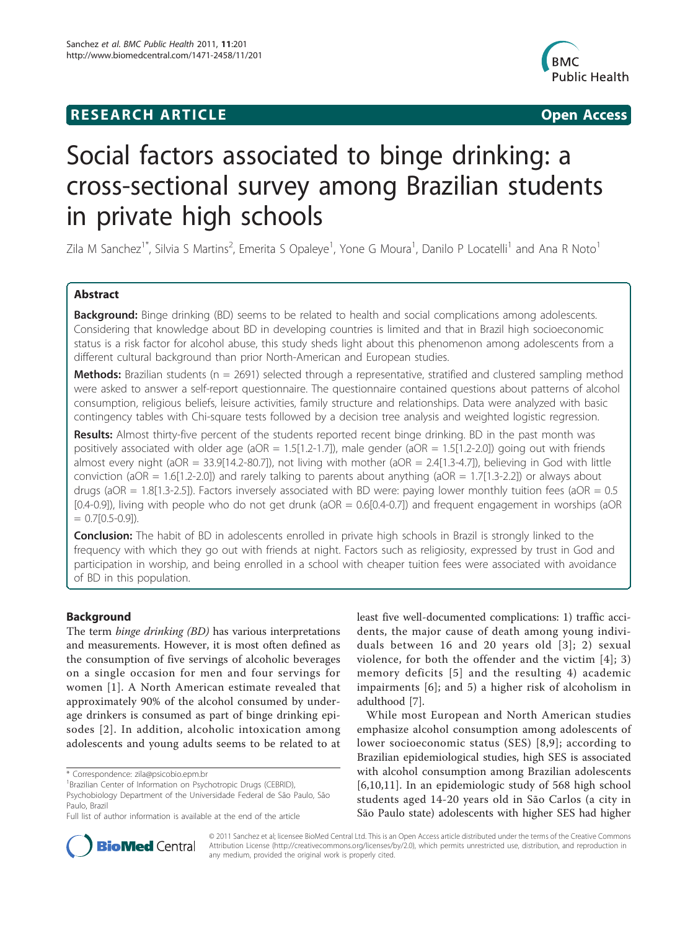## **RESEARCH ARTICLE Example 2014 CONSUMING ACCESS**



# Social factors associated to binge drinking: a cross-sectional survey among Brazilian students in private high schools

Zila M Sanchez<sup>1\*</sup>, Silvia S Martins<sup>2</sup>, Emerita S Opaleye<sup>1</sup>, Yone G Moura<sup>1</sup>, Danilo P Locatelli<sup>1</sup> and Ana R Noto<sup>1</sup>

## Abstract

Background: Binge drinking (BD) seems to be related to health and social complications among adolescents. Considering that knowledge about BD in developing countries is limited and that in Brazil high socioeconomic status is a risk factor for alcohol abuse, this study sheds light about this phenomenon among adolescents from a different cultural background than prior North-American and European studies.

**Methods:** Brazilian students ( $n = 2691$ ) selected through a representative, stratified and clustered sampling method were asked to answer a self-report questionnaire. The questionnaire contained questions about patterns of alcohol consumption, religious beliefs, leisure activities, family structure and relationships. Data were analyzed with basic contingency tables with Chi-square tests followed by a decision tree analysis and weighted logistic regression.

Results: Almost thirty-five percent of the students reported recent binge drinking. BD in the past month was positively associated with older age ( $aOR = 1.5[1.2-1.7]$ ), male gender ( $aOR = 1.5[1.2-2.0]$ ) going out with friends almost every night (aOR = 33.9[14.2-80.7]), not living with mother (aOR = 2.4[1.3-4.7]), believing in God with little conviction (aOR = 1.6[1.2-2.0]) and rarely talking to parents about anything (aOR = 1.7[1.3-2.2]) or always about drugs ( $aOR = 1.8[1.3-2.5]$ ). Factors inversely associated with BD were: paying lower monthly tuition fees ( $aOR = 0.5$ ) [0.4-0.9]), living with people who do not get drunk (aOR = 0.6[0.4-0.7]) and frequent engagement in worships (aOR  $= 0.7[0.5-0.9]$ ).

**Conclusion:** The habit of BD in adolescents enrolled in private high schools in Brazil is strongly linked to the frequency with which they go out with friends at night. Factors such as religiosity, expressed by trust in God and participation in worship, and being enrolled in a school with cheaper tuition fees were associated with avoidance of BD in this population.

## Background

The term *binge drinking (BD)* has various interpretations and measurements. However, it is most often defined as the consumption of five servings of alcoholic beverages on a single occasion for men and four servings for women [[1\]](#page-9-0). A North American estimate revealed that approximately 90% of the alcohol consumed by underage drinkers is consumed as part of binge drinking episodes [[2\]](#page-9-0). In addition, alcoholic intoxication among adolescents and young adults seems to be related to at

least five well-documented complications: 1) traffic accidents, the major cause of death among young individuals between 16 and 20 years old [[3](#page-9-0)]; 2) sexual violence, for both the offender and the victim [\[4\]](#page-9-0); 3) memory deficits [[5](#page-9-0)] and the resulting 4) academic impairments [\[6](#page-9-0)]; and 5) a higher risk of alcoholism in adulthood [\[7](#page-9-0)].

While most European and North American studies emphasize alcohol consumption among adolescents of lower socioeconomic status (SES) [[8](#page-9-0),[9\]](#page-9-0); according to Brazilian epidemiological studies, high SES is associated with alcohol consumption among Brazilian adolescents [[6,10](#page-9-0),[11\]](#page-9-0). In an epidemiologic study of 568 high school students aged 14-20 years old in São Carlos (a city in São Paulo state) adolescents with higher SES had higher



© 2011 Sanchez et al; licensee BioMed Central Ltd. This is an Open Access article distributed under the terms of the Creative Commons Attribution License [\(http://creativecommons.org/licenses/by/2.0](http://creativecommons.org/licenses/by/2.0)), which permits unrestricted use, distribution, and reproduction in any medium, provided the original work is properly cited.

<sup>\*</sup> Correspondence: [zila@psicobio.epm.br](mailto:zila@psicobio.epm.br)

<sup>&</sup>lt;sup>1</sup> Brazilian Center of Information on Psychotropic Drugs (CEBRID), Psychobiology Department of the Universidade Federal de São Paulo, São Paulo, Brazil

Full list of author information is available at the end of the article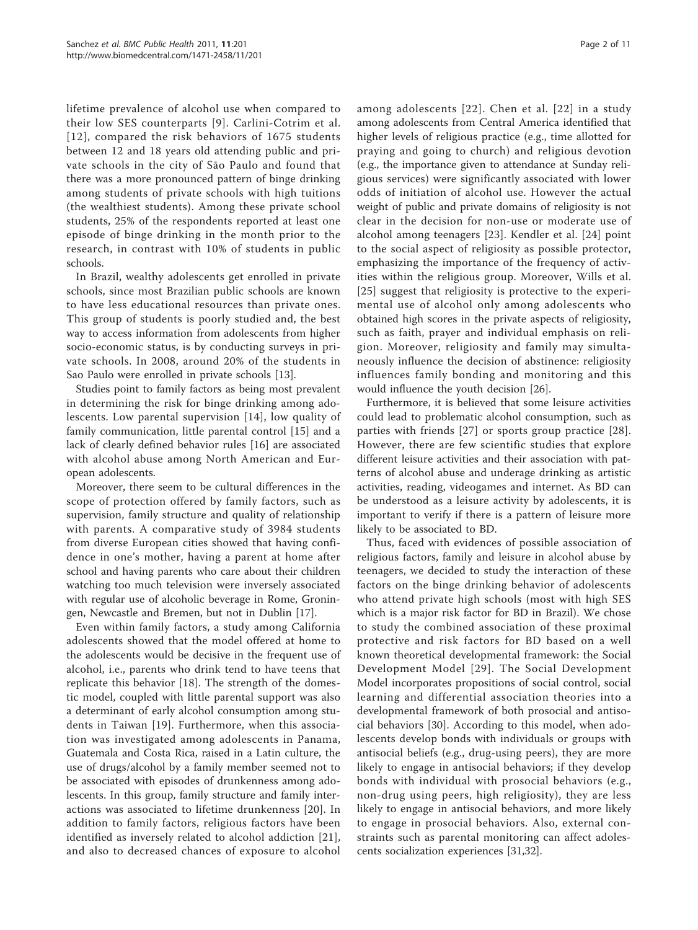lifetime prevalence of alcohol use when compared to their low SES counterparts [[9](#page-9-0)]. Carlini-Cotrim et al. [[12](#page-9-0)], compared the risk behaviors of 1675 students between 12 and 18 years old attending public and private schools in the city of São Paulo and found that there was a more pronounced pattern of binge drinking among students of private schools with high tuitions (the wealthiest students). Among these private school students, 25% of the respondents reported at least one episode of binge drinking in the month prior to the research, in contrast with 10% of students in public schools.

In Brazil, wealthy adolescents get enrolled in private schools, since most Brazilian public schools are known to have less educational resources than private ones. This group of students is poorly studied and, the best way to access information from adolescents from higher socio-economic status, is by conducting surveys in private schools. In 2008, around 20% of the students in Sao Paulo were enrolled in private schools [[13\]](#page-9-0).

Studies point to family factors as being most prevalent in determining the risk for binge drinking among adolescents. Low parental supervision [[14\]](#page-9-0), low quality of family communication, little parental control [\[15](#page-9-0)] and a lack of clearly defined behavior rules [[16\]](#page-9-0) are associated with alcohol abuse among North American and European adolescents.

Moreover, there seem to be cultural differences in the scope of protection offered by family factors, such as supervision, family structure and quality of relationship with parents. A comparative study of 3984 students from diverse European cities showed that having confidence in one's mother, having a parent at home after school and having parents who care about their children watching too much television were inversely associated with regular use of alcoholic beverage in Rome, Groningen, Newcastle and Bremen, but not in Dublin [[17](#page-9-0)].

Even within family factors, a study among California adolescents showed that the model offered at home to the adolescents would be decisive in the frequent use of alcohol, i.e., parents who drink tend to have teens that replicate this behavior [[18\]](#page-9-0). The strength of the domestic model, coupled with little parental support was also a determinant of early alcohol consumption among students in Taiwan [[19](#page-9-0)]. Furthermore, when this association was investigated among adolescents in Panama, Guatemala and Costa Rica, raised in a Latin culture, the use of drugs/alcohol by a family member seemed not to be associated with episodes of drunkenness among adolescents. In this group, family structure and family interactions was associated to lifetime drunkenness [[20\]](#page-10-0). In addition to family factors, religious factors have been identified as inversely related to alcohol addiction [[21](#page-10-0)], and also to decreased chances of exposure to alcohol among adolescents [\[22](#page-10-0)]. Chen et al. [[22](#page-10-0)] in a study among adolescents from Central America identified that higher levels of religious practice (e.g., time allotted for praying and going to church) and religious devotion (e.g., the importance given to attendance at Sunday religious services) were significantly associated with lower odds of initiation of alcohol use. However the actual weight of public and private domains of religiosity is not clear in the decision for non-use or moderate use of alcohol among teenagers [[23\]](#page-10-0). Kendler et al. [[24\]](#page-10-0) point to the social aspect of religiosity as possible protector, emphasizing the importance of the frequency of activities within the religious group. Moreover, Wills et al. [[25](#page-10-0)] suggest that religiosity is protective to the experimental use of alcohol only among adolescents who obtained high scores in the private aspects of religiosity, such as faith, prayer and individual emphasis on religion. Moreover, religiosity and family may simultaneously influence the decision of abstinence: religiosity influences family bonding and monitoring and this would influence the youth decision [\[26](#page-10-0)].

Furthermore, it is believed that some leisure activities could lead to problematic alcohol consumption, such as parties with friends [[27](#page-10-0)] or sports group practice [[28](#page-10-0)]. However, there are few scientific studies that explore different leisure activities and their association with patterns of alcohol abuse and underage drinking as artistic activities, reading, videogames and internet. As BD can be understood as a leisure activity by adolescents, it is important to verify if there is a pattern of leisure more likely to be associated to BD.

Thus, faced with evidences of possible association of religious factors, family and leisure in alcohol abuse by teenagers, we decided to study the interaction of these factors on the binge drinking behavior of adolescents who attend private high schools (most with high SES which is a major risk factor for BD in Brazil). We chose to study the combined association of these proximal protective and risk factors for BD based on a well known theoretical developmental framework: the Social Development Model [[29\]](#page-10-0). The Social Development Model incorporates propositions of social control, social learning and differential association theories into a developmental framework of both prosocial and antisocial behaviors [\[30](#page-10-0)]. According to this model, when adolescents develop bonds with individuals or groups with antisocial beliefs (e.g., drug-using peers), they are more likely to engage in antisocial behaviors; if they develop bonds with individual with prosocial behaviors (e.g., non-drug using peers, high religiosity), they are less likely to engage in antisocial behaviors, and more likely to engage in prosocial behaviors. Also, external constraints such as parental monitoring can affect adolescents socialization experiences [[31,32\]](#page-10-0).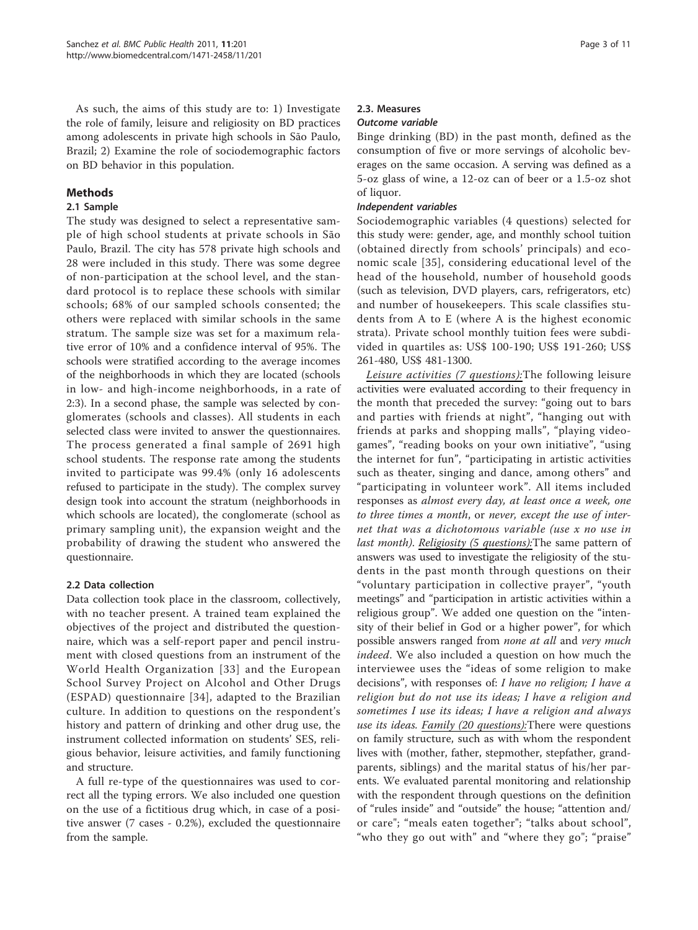As such, the aims of this study are to: 1) Investigate the role of family, leisure and religiosity on BD practices among adolescents in private high schools in São Paulo, Brazil; 2) Examine the role of sociodemographic factors on BD behavior in this population.

## Methods

### 2.1 Sample

The study was designed to select a representative sample of high school students at private schools in São Paulo, Brazil. The city has 578 private high schools and 28 were included in this study. There was some degree of non-participation at the school level, and the standard protocol is to replace these schools with similar schools; 68% of our sampled schools consented; the others were replaced with similar schools in the same stratum. The sample size was set for a maximum relative error of 10% and a confidence interval of 95%. The schools were stratified according to the average incomes of the neighborhoods in which they are located (schools in low- and high-income neighborhoods, in a rate of 2:3). In a second phase, the sample was selected by conglomerates (schools and classes). All students in each selected class were invited to answer the questionnaires. The process generated a final sample of 2691 high school students. The response rate among the students invited to participate was 99.4% (only 16 adolescents refused to participate in the study). The complex survey design took into account the stratum (neighborhoods in which schools are located), the conglomerate (school as primary sampling unit), the expansion weight and the probability of drawing the student who answered the questionnaire.

#### 2.2 Data collection

Data collection took place in the classroom, collectively, with no teacher present. A trained team explained the objectives of the project and distributed the questionnaire, which was a self-report paper and pencil instrument with closed questions from an instrument of the World Health Organization [[33](#page-10-0)] and the European School Survey Project on Alcohol and Other Drugs (ESPAD) questionnaire [[34\]](#page-10-0), adapted to the Brazilian culture. In addition to questions on the respondent's history and pattern of drinking and other drug use, the instrument collected information on students' SES, religious behavior, leisure activities, and family functioning and structure.

A full re-type of the questionnaires was used to correct all the typing errors. We also included one question on the use of a fictitious drug which, in case of a positive answer (7 cases - 0.2%), excluded the questionnaire from the sample.

## 2.3. Measures

### Outcome variable

Binge drinking (BD) in the past month, defined as the consumption of five or more servings of alcoholic beverages on the same occasion. A serving was defined as a 5-oz glass of wine, a 12-oz can of beer or a 1.5-oz shot of liquor.

## Independent variables

Sociodemographic variables (4 questions) selected for this study were: gender, age, and monthly school tuition (obtained directly from schools' principals) and economic scale [[35](#page-10-0)], considering educational level of the head of the household, number of household goods (such as television, DVD players, cars, refrigerators, etc) and number of housekeepers. This scale classifies students from A to E (where A is the highest economic strata). Private school monthly tuition fees were subdivided in quartiles as: US\$ 100-190; US\$ 191-260; US\$ 261-480, US\$ 481-1300.

Leisure activities (7 questions):The following leisure activities were evaluated according to their frequency in the month that preceded the survey: "going out to bars and parties with friends at night", "hanging out with friends at parks and shopping malls", "playing videogames", "reading books on your own initiative", "using the internet for fun", "participating in artistic activities such as theater, singing and dance, among others" and "participating in volunteer work". All items included responses as almost every day, at least once a week, one to three times a month, or never, except the use of internet that was a dichotomous variable (use x no use in last month). Religiosity (5 questions): The same pattern of answers was used to investigate the religiosity of the students in the past month through questions on their "voluntary participation in collective prayer", "youth meetings" and "participation in artistic activities within a religious group". We added one question on the "intensity of their belief in God or a higher power", for which possible answers ranged from none at all and very much indeed. We also included a question on how much the interviewee uses the "ideas of some religion to make decisions", with responses of: I have no religion; I have a religion but do not use its ideas; I have a religion and sometimes I use its ideas; I have a religion and always use its ideas. Family (20 questions): There were questions on family structure, such as with whom the respondent lives with (mother, father, stepmother, stepfather, grandparents, siblings) and the marital status of his/her parents. We evaluated parental monitoring and relationship with the respondent through questions on the definition of "rules inside" and "outside" the house; "attention and/ or care"; "meals eaten together"; "talks about school", "who they go out with" and "where they go"; "praise"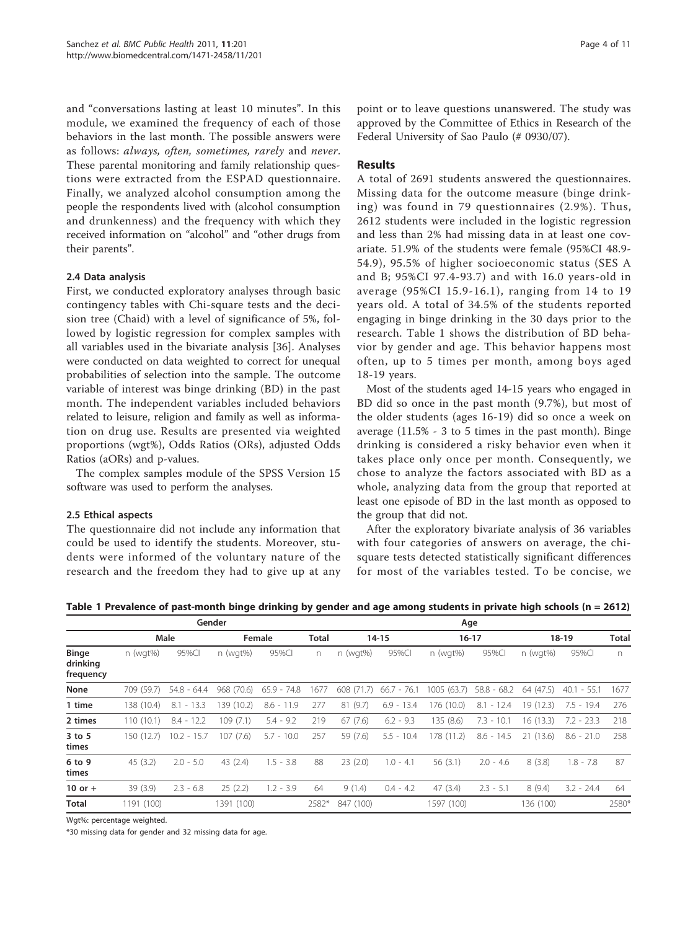and "conversations lasting at least 10 minutes". In this module, we examined the frequency of each of those behaviors in the last month. The possible answers were as follows: always, often, sometimes, rarely and never. These parental monitoring and family relationship questions were extracted from the ESPAD questionnaire. Finally, we analyzed alcohol consumption among the people the respondents lived with (alcohol consumption and drunkenness) and the frequency with which they received information on "alcohol" and "other drugs from their parents".

#### 2.4 Data analysis

First, we conducted exploratory analyses through basic contingency tables with Chi-square tests and the decision tree (Chaid) with a level of significance of 5%, followed by logistic regression for complex samples with all variables used in the bivariate analysis [[36\]](#page-10-0). Analyses were conducted on data weighted to correct for unequal probabilities of selection into the sample. The outcome variable of interest was binge drinking (BD) in the past month. The independent variables included behaviors related to leisure, religion and family as well as information on drug use. Results are presented via weighted proportions (wgt%), Odds Ratios (ORs), adjusted Odds Ratios (aORs) and p-values.

The complex samples module of the SPSS Version 15 software was used to perform the analyses.

## 2.5 Ethical aspects

The questionnaire did not include any information that could be used to identify the students. Moreover, students were informed of the voluntary nature of the research and the freedom they had to give up at any

point or to leave questions unanswered. The study was approved by the Committee of Ethics in Research of the Federal University of Sao Paulo (# 0930/07).

## Results

A total of 2691 students answered the questionnaires. Missing data for the outcome measure (binge drinking) was found in 79 questionnaires (2.9%). Thus, 2612 students were included in the logistic regression and less than 2% had missing data in at least one covariate. 51.9% of the students were female (95%CI 48.9- 54.9), 95.5% of higher socioeconomic status (SES A and B; 95%CI 97.4-93.7) and with 16.0 years-old in average (95%CI 15.9-16.1), ranging from 14 to 19 years old. A total of 34.5% of the students reported engaging in binge drinking in the 30 days prior to the research. Table 1 shows the distribution of BD behavior by gender and age. This behavior happens most often, up to 5 times per month, among boys aged 18-19 years.

Most of the students aged 14-15 years who engaged in BD did so once in the past month (9.7%), but most of the older students (ages 16-19) did so once a week on average (11.5% - 3 to 5 times in the past month). Binge drinking is considered a risky behavior even when it takes place only once per month. Consequently, we chose to analyze the factors associated with BD as a whole, analyzing data from the group that reported at least one episode of BD in the last month as opposed to the group that did not.

After the exploratory bivariate analysis of 36 variables with four categories of answers on average, the chisquare tests detected statistically significant differences for most of the variables tested. To be concise, we

Table 1 Prevalence of past-month binge drinking by gender and age among students in private high schools (n = 2612)

| Gender                                |            |               |            |               | Age          |            |               |             |               |           |               |              |
|---------------------------------------|------------|---------------|------------|---------------|--------------|------------|---------------|-------------|---------------|-----------|---------------|--------------|
|                                       |            | Male          |            | Female        | <b>Total</b> |            | $14 - 15$     | $16 - 17$   |               |           | $18-19$       | <b>Total</b> |
| <b>Binge</b><br>drinking<br>frequency | $n$ (wat%) | 95%CI         | n (wgt%)   | 95%Cl         | n            | $n$ (wqt%) | 95%CI         | $n$ (wqt%)  | 95%CI         | n (wgt%)  | 95%CI         | n            |
| None                                  | 709 (59.7) | $54.8 - 64.4$ | 968 (70.6) | $65.9 - 74.8$ | 1677         | 608 (71.7) | $66.7 - 76.1$ | 1005 (63.7) | $58.8 - 68.2$ | 64 (47.5) | $40.1 - 55.1$ | 1677         |
| 1 time                                | 138 (10.4) | $8.1 - 13.3$  | 139 (10.2) | $8.6 - 11.9$  | 277          | 81(9.7)    | $6.9 - 13.4$  | 176 (10.0)  | $8.1 - 12.4$  | 19 (12.3) | $7.5 - 19.4$  | 276          |
| 2 times                               | 110(10.1)  | $8.4 - 12.2$  | 109(7.1)   | $5.4 - 9.2$   | 219          | 67(7.6)    | $6.2 - 9.3$   | 135(8.6)    | $7.3 - 10.1$  | 16(13.3)  | $7.2 - 23.3$  | 218          |
| 3 to 5<br>times                       | 150 (12.7) | $10.2 - 15.7$ | 107 (7.6)  | $5.7 - 10.0$  | 257          | 59 (7.6)   | $5.5 - 10.4$  | 178 (11.2)  | $8.6 - 14.5$  | 21(13.6)  | $8.6 - 21.0$  | 258          |
| 6 to 9<br>times                       | 45(3.2)    | $2.0 - 5.0$   | 43 (2.4)   | $1.5 - 3.8$   | 88           | 23(2.0)    | $1.0 - 4.1$   | 56(3.1)     | $2.0 - 4.6$   | 8(3.8)    | $1.8 - 7.8$   | 87           |
| $10$ or $+$                           | 39(3.9)    | $2.3 - 6.8$   | 25(2.2)    | $1.2 - 3.9$   | 64           | 9(1.4)     | $0.4 - 4.2$   | 47(3.4)     | $2.3 - 5.1$   | 8(9.4)    | $3.2 - 24.4$  | 64           |
| Total                                 | 1191 (100) |               | 1391 (100) |               | 2582*        | 847 (100)  |               | 1597 (100)  |               | 136 (100) |               | 2580*        |

Wgt%: percentage weighted.

\*30 missing data for gender and 32 missing data for age.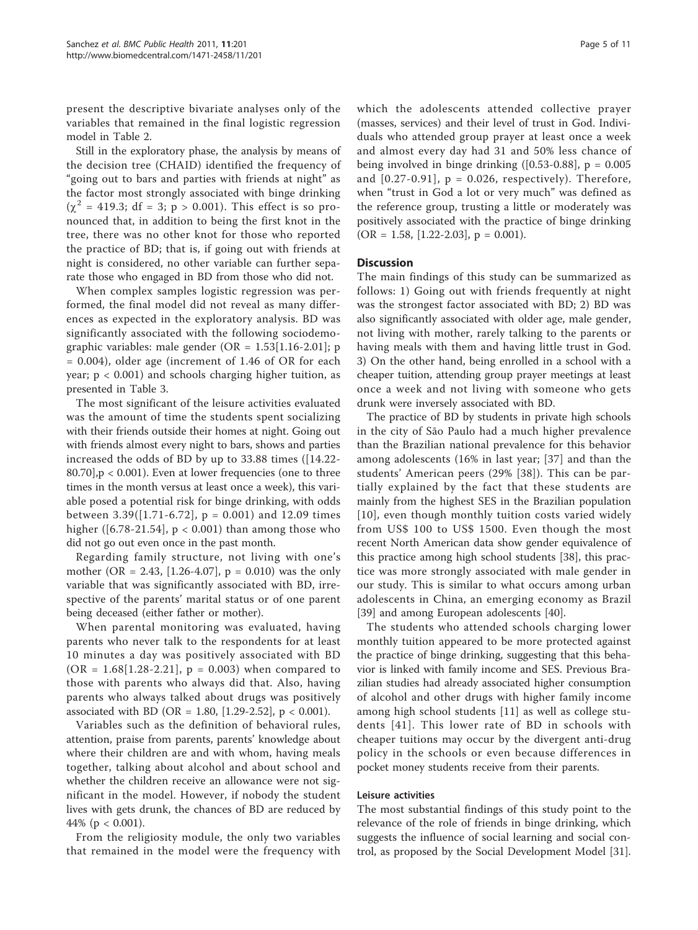present the descriptive bivariate analyses only of the variables that remained in the final logistic regression model in Table [2](#page-5-0).

Still in the exploratory phase, the analysis by means of the decision tree (CHAID) identified the frequency of "going out to bars and parties with friends at night" as the factor most strongly associated with binge drinking  $(\chi^2 = 419.3; df = 3; p > 0.001)$ . This effect is so pronounced that, in addition to being the first knot in the tree, there was no other knot for those who reported the practice of BD; that is, if going out with friends at night is considered, no other variable can further separate those who engaged in BD from those who did not.

When complex samples logistic regression was performed, the final model did not reveal as many differences as expected in the exploratory analysis. BD was significantly associated with the following sociodemographic variables: male gender ( $OR = 1.53[1.16-2.01]$ ; p = 0.004), older age (increment of 1.46 of OR for each year; p < 0.001) and schools charging higher tuition, as presented in Table [3.](#page-6-0)

The most significant of the leisure activities evaluated was the amount of time the students spent socializing with their friends outside their homes at night. Going out with friends almost every night to bars, shows and parties increased the odds of BD by up to 33.88 times ([14.22-  $80.70$ ],  $p < 0.001$ ). Even at lower frequencies (one to three times in the month versus at least once a week), this variable posed a potential risk for binge drinking, with odds between  $3.39([1.71-6.72], p = 0.001)$  and  $12.09$  times higher ([6.78-21.54],  $p < 0.001$ ) than among those who did not go out even once in the past month.

Regarding family structure, not living with one's mother (OR = 2.43, [1.26-4.07], p = 0.010) was the only variable that was significantly associated with BD, irrespective of the parents' marital status or of one parent being deceased (either father or mother).

When parental monitoring was evaluated, having parents who never talk to the respondents for at least 10 minutes a day was positively associated with BD  $(OR = 1.68[1.28-2.21], p = 0.003)$  when compared to those with parents who always did that. Also, having parents who always talked about drugs was positively associated with BD (OR = 1.80, [1.29-2.52],  $p < 0.001$ ).

Variables such as the definition of behavioral rules, attention, praise from parents, parents' knowledge about where their children are and with whom, having meals together, talking about alcohol and about school and whether the children receive an allowance were not significant in the model. However, if nobody the student lives with gets drunk, the chances of BD are reduced by 44% ( $p < 0.001$ ).

From the religiosity module, the only two variables that remained in the model were the frequency with which the adolescents attended collective prayer (masses, services) and their level of trust in God. Individuals who attended group prayer at least once a week and almost every day had 31 and 50% less chance of being involved in binge drinking ( $[0.53-0.88]$ ,  $p = 0.005$ and  $[0.27-0.91]$ ,  $p = 0.026$ , respectively). Therefore, when "trust in God a lot or very much" was defined as the reference group, trusting a little or moderately was positively associated with the practice of binge drinking  $(OR = 1.58, [1.22-2.03], p = 0.001).$ 

#### **Discussion**

The main findings of this study can be summarized as follows: 1) Going out with friends frequently at night was the strongest factor associated with BD; 2) BD was also significantly associated with older age, male gender, not living with mother, rarely talking to the parents or having meals with them and having little trust in God. 3) On the other hand, being enrolled in a school with a cheaper tuition, attending group prayer meetings at least once a week and not living with someone who gets drunk were inversely associated with BD.

The practice of BD by students in private high schools in the city of São Paulo had a much higher prevalence than the Brazilian national prevalence for this behavior among adolescents (16% in last year; [[37\]](#page-10-0) and than the students' American peers (29% [\[38\]](#page-10-0)). This can be partially explained by the fact that these students are mainly from the highest SES in the Brazilian population [[10](#page-9-0)], even though monthly tuition costs varied widely from US\$ 100 to US\$ 1500. Even though the most recent North American data show gender equivalence of this practice among high school students [[38\]](#page-10-0), this practice was more strongly associated with male gender in our study. This is similar to what occurs among urban adolescents in China, an emerging economy as Brazil [[39\]](#page-10-0) and among European adolescents [\[40\]](#page-10-0).

The students who attended schools charging lower monthly tuition appeared to be more protected against the practice of binge drinking, suggesting that this behavior is linked with family income and SES. Previous Brazilian studies had already associated higher consumption of alcohol and other drugs with higher family income among high school students [[11\]](#page-9-0) as well as college students [[41](#page-10-0)]. This lower rate of BD in schools with cheaper tuitions may occur by the divergent anti-drug policy in the schools or even because differences in pocket money students receive from their parents.

#### Leisure activities

The most substantial findings of this study point to the relevance of the role of friends in binge drinking, which suggests the influence of social learning and social control, as proposed by the Social Development Model [[31](#page-10-0)].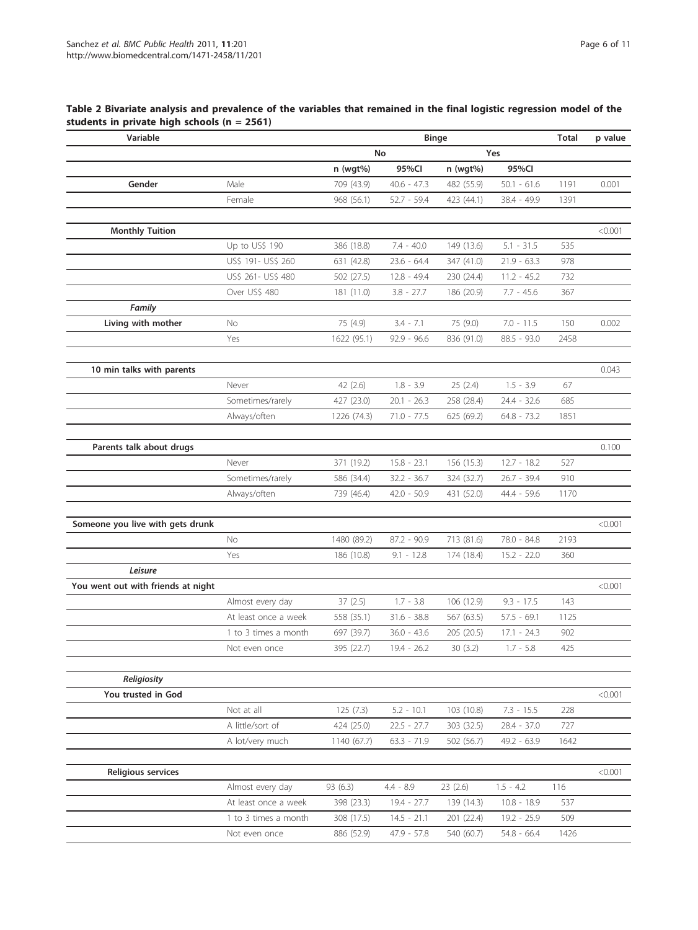## <span id="page-5-0"></span>Table 2 Bivariate analysis and prevalence of the variables that remained in the final logistic regression model of the students in private high schools (n = 2561)

| Variable                           | <b>Binge</b>         |             |               |            |               | p value |         |
|------------------------------------|----------------------|-------------|---------------|------------|---------------|---------|---------|
|                                    |                      |             | No            |            | Yes           |         |         |
|                                    |                      | n (wgt%)    | 95%CI         | n (wgt%)   | 95%CI         |         |         |
| Gender                             | Male                 | 709 (43.9)  | $40.6 - 47.3$ | 482 (55.9) | $50.1 - 61.6$ | 1191    | 0.001   |
|                                    | Female               | 968 (56.1)  | $52.7 - 59.4$ | 423 (44.1) | 38.4 - 49.9   | 1391    |         |
|                                    |                      |             |               |            |               |         |         |
| <b>Monthly Tuition</b>             |                      |             |               |            |               |         | < 0.001 |
|                                    | Up to US\$ 190       | 386 (18.8)  | $7.4 - 40.0$  | 149 (13.6) | $5.1 - 31.5$  | 535     |         |
|                                    | US\$ 191- US\$ 260   | 631 (42.8)  | $23.6 - 64.4$ | 347 (41.0) | $21.9 - 63.3$ | 978     |         |
|                                    | US\$ 261- US\$ 480   | 502 (27.5)  | $12.8 - 49.4$ | 230 (24.4) | $11.2 - 45.2$ | 732     |         |
|                                    | Over US\$ 480        | 181 (11.0)  | $3.8 - 27.7$  | 186 (20.9) | $7.7 - 45.6$  | 367     |         |
| Family                             |                      |             |               |            |               |         |         |
| Living with mother                 | No                   | 75 (4.9)    | $3.4 - 7.1$   | 75 (9.0)   | $7.0 - 11.5$  | 150     | 0.002   |
|                                    | Yes                  | 1622 (95.1) | $92.9 - 96.6$ | 836 (91.0) | 88.5 - 93.0   | 2458    |         |
|                                    |                      |             |               |            |               |         |         |
| 10 min talks with parents          |                      |             |               |            |               |         | 0.043   |
|                                    | Never                | 42(2.6)     | $1.8 - 3.9$   | 25(2.4)    | $1.5 - 3.9$   | 67      |         |
|                                    | Sometimes/rarely     | 427 (23.0)  | $20.1 - 26.3$ | 258 (28.4) | $24.4 - 32.6$ | 685     |         |
|                                    | Always/often         | 1226 (74.3) | $71.0 - 77.5$ | 625 (69.2) | $64.8 - 73.2$ | 1851    |         |
|                                    |                      |             |               |            |               |         |         |
| Parents talk about drugs           |                      |             |               |            |               |         | 0.100   |
|                                    | Never                | 371 (19.2)  | $15.8 - 23.1$ | 156 (15.3) | $12.7 - 18.2$ | 527     |         |
|                                    | Sometimes/rarely     | 586 (34.4)  | $32.2 - 36.7$ | 324 (32.7) | $26.7 - 39.4$ | 910     |         |
|                                    | Always/often         | 739 (46.4)  | $42.0 - 50.9$ | 431 (52.0) | 44.4 - 59.6   | 1170    |         |
|                                    |                      |             |               |            |               |         |         |
| Someone you live with gets drunk   |                      |             |               |            |               |         | < 0.001 |
|                                    | No                   | 1480 (89.2) | 87.2 - 90.9   | 713 (81.6) | 78.0 - 84.8   | 2193    |         |
|                                    | Yes                  | 186 (10.8)  | $9.1 - 12.8$  | 174 (18.4) | $15.2 - 22.0$ | 360     |         |
| Leisure                            |                      |             |               |            |               |         |         |
| You went out with friends at night |                      |             |               |            |               |         | < 0.001 |
|                                    | Almost every day     | 37(2.5)     | $1.7 - 3.8$   | 106 (12.9) | $9.3 - 17.5$  | 143     |         |
|                                    | At least once a week | 558 (35.1)  | $31.6 - 38.8$ | 567 (63.5) | $57.5 - 69.1$ | 1125    |         |
|                                    | 1 to 3 times a month | 697 (39.7)  | $36.0 - 43.6$ | 205 (20.5) | $17.1 - 24.3$ | 902     |         |
|                                    | Not even once        | 395 (22.7)  | $19.4 - 26.2$ | 30(3.2)    | $1.7 - 5.8$   | 425     |         |
|                                    |                      |             |               |            |               |         |         |
| Religiosity                        |                      |             |               |            |               |         |         |
| You trusted in God                 |                      |             |               |            |               |         | < 0.001 |
|                                    | Not at all           | 125(7.3)    | $5.2 - 10.1$  | 103 (10.8) | $7.3 - 15.5$  | 228     |         |
|                                    | A little/sort of     | 424 (25.0)  | $22.5 - 27.7$ | 303 (32.5) | 28.4 - 37.0   | 727     |         |
|                                    | A lot/very much      | 1140 (67.7) | $63.3 - 71.9$ | 502 (56.7) | 49.2 - 63.9   | 1642    |         |
|                                    |                      |             |               |            |               |         |         |
| Religious services                 |                      |             |               |            |               |         | < 0.001 |
|                                    | Almost every day     | 93 (6.3)    | $4.4 - 8.9$   | 23(2.6)    | $1.5 - 4.2$   | 116     |         |
|                                    | At least once a week | 398 (23.3)  | $19.4 - 27.7$ | 139 (14.3) | $10.8 - 18.9$ | 537     |         |
|                                    | 1 to 3 times a month | 308 (17.5)  | $14.5 - 21.1$ | 201 (22.4) | 19.2 - 25.9   | 509     |         |
|                                    | Not even once        | 886 (52.9)  | $47.9 - 57.8$ | 540 (60.7) | $54.8 - 66.4$ | 1426    |         |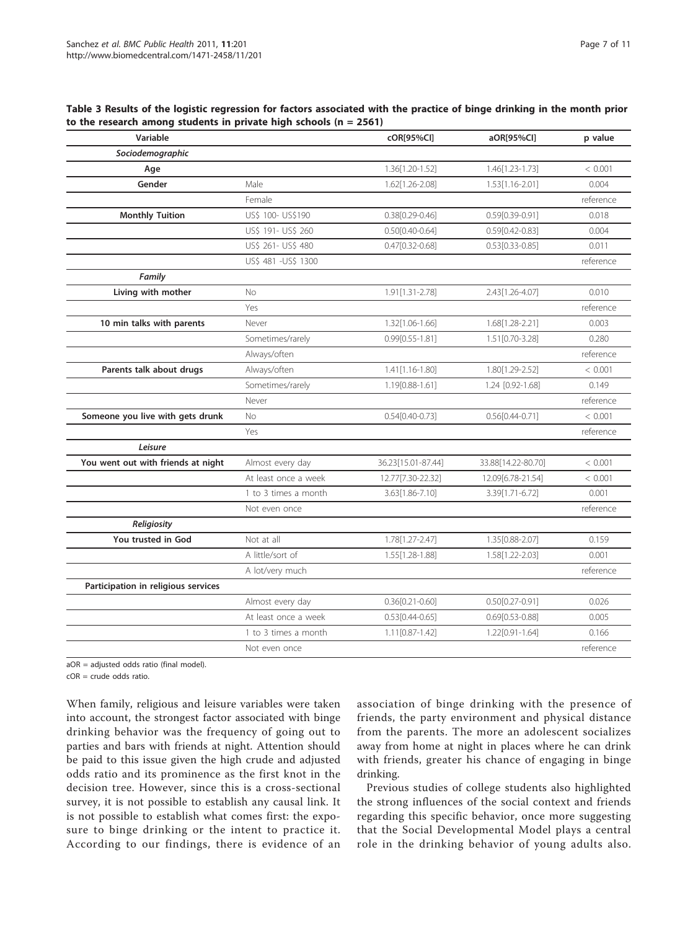<span id="page-6-0"></span>Table 3 Results of the logistic regression for factors associated with the practice of binge drinking in the month prior to the research among students in private high schools ( $n = 2561$ )

| Variable                            |                      | cOR[95%Cl]          | aOR[95%Cl]          | p value   |
|-------------------------------------|----------------------|---------------------|---------------------|-----------|
| Sociodemographic                    |                      |                     |                     |           |
| Age                                 |                      | 1.36[1.20-1.52]     | 1.46[1.23-1.73]     | < 0.001   |
| Gender                              | Male                 | 1.62[1.26-2.08]     | 1.53[1.16-2.01]     | 0.004     |
|                                     | Female               |                     |                     | reference |
| <b>Monthly Tuition</b>              | US\$ 100- US\$190    | $0.38[0.29 - 0.46]$ | 0.59[0.39-0.91]     | 0.018     |
|                                     | US\$ 191- US\$ 260   | $0.50[0.40 - 0.64]$ | 0.59[0.42-0.83]     | 0.004     |
|                                     | US\$ 261- US\$ 480   | 0.47[0.32-0.68]     | 0.53[0.33-0.85]     | 0.011     |
|                                     | US\$ 481 - US\$ 1300 |                     |                     | reference |
| Family                              |                      |                     |                     |           |
| Living with mother                  | No.                  | 1.91 [1.31 - 2.78]  | 2.43[1.26-4.07]     | 0.010     |
|                                     | Yes                  |                     |                     | reference |
| 10 min talks with parents           | Never                | 1.32[1.06-1.66]     | 1.68[1.28-2.21]     | 0.003     |
|                                     | Sometimes/rarely     | $0.99[0.55 - 1.81]$ | 1.51[0.70-3.28]     | 0.280     |
|                                     | Always/often         |                     |                     | reference |
| Parents talk about drugs            | Always/often         | 1.41[1.16-1.80]     | 1.80[1.29-2.52]     | < 0.001   |
|                                     | Sometimes/rarely     | 1.19[0.88-1.61]     | 1.24 [0.92-1.68]    | 0.149     |
|                                     | Never                |                     |                     | reference |
| Someone you live with gets drunk    | <b>No</b>            | $0.54[0.40-0.73]$   | $0.56[0.44-0.71]$   | < 0.001   |
|                                     | Yes                  |                     |                     | reference |
| Leisure                             |                      |                     |                     |           |
| You went out with friends at night  | Almost every day     | 36.23[15.01-87.44]  | 33.88[14.22-80.70]  | < 0.001   |
|                                     | At least once a week | 12.77[7.30-22.32]   | 12.09[6.78-21.54]   | < 0.001   |
|                                     | 1 to 3 times a month | 3.63[1.86-7.10]     | 3.39[1.71-6.72]     | 0.001     |
|                                     | Not even once        |                     |                     | reference |
| Religiosity                         |                      |                     |                     |           |
| You trusted in God                  | Not at all           | 1.78[1.27-2.47]     | 1.35[0.88-2.07]     | 0.159     |
|                                     | A little/sort of     | 1.55[1.28-1.88]     | 1.58[1.22-2.03]     | 0.001     |
|                                     | A lot/very much      |                     |                     | reference |
| Participation in religious services |                      |                     |                     |           |
|                                     | Almost every day     | $0.36[0.21 - 0.60]$ | $0.50[0.27 - 0.91]$ | 0.026     |
|                                     | At least once a week | $0.53[0.44 - 0.65]$ | $0.69[0.53 - 0.88]$ | 0.005     |
|                                     | 1 to 3 times a month | 1.11[0.87-1.42]     | 1.22[0.91-1.64]     | 0.166     |
|                                     | Not even once        |                     |                     | reference |

aOR = adjusted odds ratio (final model).

cOR = crude odds ratio.

When family, religious and leisure variables were taken into account, the strongest factor associated with binge drinking behavior was the frequency of going out to parties and bars with friends at night. Attention should be paid to this issue given the high crude and adjusted odds ratio and its prominence as the first knot in the decision tree. However, since this is a cross-sectional survey, it is not possible to establish any causal link. It is not possible to establish what comes first: the exposure to binge drinking or the intent to practice it. According to our findings, there is evidence of an association of binge drinking with the presence of friends, the party environment and physical distance from the parents. The more an adolescent socializes away from home at night in places where he can drink with friends, greater his chance of engaging in binge drinking.

Previous studies of college students also highlighted the strong influences of the social context and friends regarding this specific behavior, once more suggesting that the Social Developmental Model plays a central role in the drinking behavior of young adults also.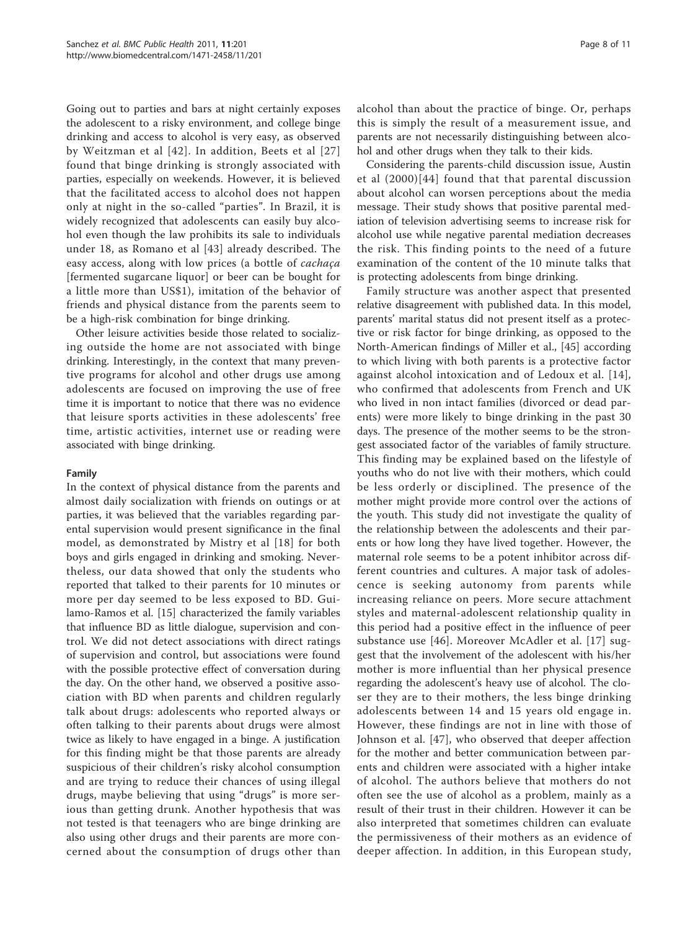Going out to parties and bars at night certainly exposes the adolescent to a risky environment, and college binge drinking and access to alcohol is very easy, as observed by Weitzman et al [\[42](#page-10-0)]. In addition, Beets et al [[27](#page-10-0)] found that binge drinking is strongly associated with parties, especially on weekends. However, it is believed that the facilitated access to alcohol does not happen only at night in the so-called "parties". In Brazil, it is widely recognized that adolescents can easily buy alcohol even though the law prohibits its sale to individuals under 18, as Romano et al [\[43](#page-10-0)] already described. The easy access, along with low prices (a bottle of cachaça [fermented sugarcane liquor] or beer can be bought for a little more than US\$1), imitation of the behavior of friends and physical distance from the parents seem to be a high-risk combination for binge drinking.

Other leisure activities beside those related to socializing outside the home are not associated with binge drinking. Interestingly, in the context that many preventive programs for alcohol and other drugs use among adolescents are focused on improving the use of free time it is important to notice that there was no evidence that leisure sports activities in these adolescents' free time, artistic activities, internet use or reading were associated with binge drinking.

#### Family

In the context of physical distance from the parents and almost daily socialization with friends on outings or at parties, it was believed that the variables regarding parental supervision would present significance in the final model, as demonstrated by Mistry et al [\[18\]](#page-9-0) for both boys and girls engaged in drinking and smoking. Nevertheless, our data showed that only the students who reported that talked to their parents for 10 minutes or more per day seemed to be less exposed to BD. Guilamo-Ramos et al. [\[15](#page-9-0)] characterized the family variables that influence BD as little dialogue, supervision and control. We did not detect associations with direct ratings of supervision and control, but associations were found with the possible protective effect of conversation during the day. On the other hand, we observed a positive association with BD when parents and children regularly talk about drugs: adolescents who reported always or often talking to their parents about drugs were almost twice as likely to have engaged in a binge. A justification for this finding might be that those parents are already suspicious of their children's risky alcohol consumption and are trying to reduce their chances of using illegal drugs, maybe believing that using "drugs" is more serious than getting drunk. Another hypothesis that was not tested is that teenagers who are binge drinking are also using other drugs and their parents are more concerned about the consumption of drugs other than alcohol than about the practice of binge. Or, perhaps this is simply the result of a measurement issue, and parents are not necessarily distinguishing between alcohol and other drugs when they talk to their kids.

Considering the parents-child discussion issue, Austin et al (2000)[[44\]](#page-10-0) found that that parental discussion about alcohol can worsen perceptions about the media message. Their study shows that positive parental mediation of television advertising seems to increase risk for alcohol use while negative parental mediation decreases the risk. This finding points to the need of a future examination of the content of the 10 minute talks that is protecting adolescents from binge drinking.

Family structure was another aspect that presented relative disagreement with published data. In this model, parents' marital status did not present itself as a protective or risk factor for binge drinking, as opposed to the North-American findings of Miller et al., [[45\]](#page-10-0) according to which living with both parents is a protective factor against alcohol intoxication and of Ledoux et al. [[14\]](#page-9-0), who confirmed that adolescents from French and UK who lived in non intact families (divorced or dead parents) were more likely to binge drinking in the past 30 days. The presence of the mother seems to be the strongest associated factor of the variables of family structure. This finding may be explained based on the lifestyle of youths who do not live with their mothers, which could be less orderly or disciplined. The presence of the mother might provide more control over the actions of the youth. This study did not investigate the quality of the relationship between the adolescents and their parents or how long they have lived together. However, the maternal role seems to be a potent inhibitor across different countries and cultures. A major task of adolescence is seeking autonomy from parents while increasing reliance on peers. More secure attachment styles and maternal-adolescent relationship quality in this period had a positive effect in the influence of peer substance use [\[46\]](#page-10-0). Moreover McAdler et al. [[17\]](#page-9-0) suggest that the involvement of the adolescent with his/her mother is more influential than her physical presence regarding the adolescent's heavy use of alcohol. The closer they are to their mothers, the less binge drinking adolescents between 14 and 15 years old engage in. However, these findings are not in line with those of Johnson et al. [[47](#page-10-0)], who observed that deeper affection for the mother and better communication between parents and children were associated with a higher intake of alcohol. The authors believe that mothers do not often see the use of alcohol as a problem, mainly as a result of their trust in their children. However it can be also interpreted that sometimes children can evaluate the permissiveness of their mothers as an evidence of deeper affection. In addition, in this European study,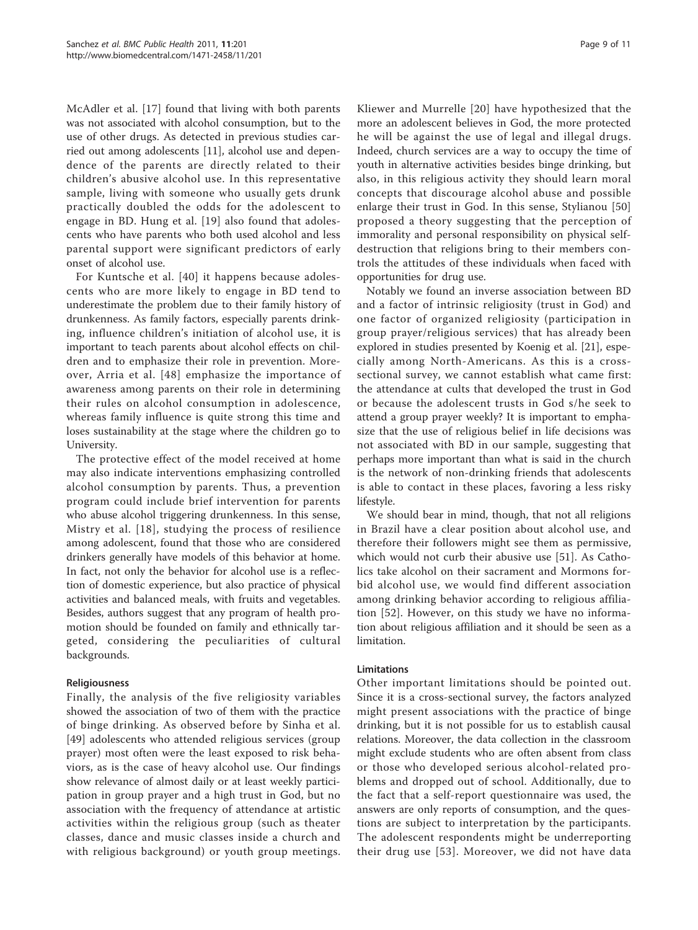McAdler et al. [[17\]](#page-9-0) found that living with both parents was not associated with alcohol consumption, but to the use of other drugs. As detected in previous studies carried out among adolescents [\[11](#page-9-0)], alcohol use and dependence of the parents are directly related to their children's abusive alcohol use. In this representative sample, living with someone who usually gets drunk practically doubled the odds for the adolescent to engage in BD. Hung et al. [[19](#page-9-0)] also found that adolescents who have parents who both used alcohol and less parental support were significant predictors of early onset of alcohol use.

For Kuntsche et al. [[40](#page-10-0)] it happens because adolescents who are more likely to engage in BD tend to underestimate the problem due to their family history of drunkenness. As family factors, especially parents drinking, influence children's initiation of alcohol use, it is important to teach parents about alcohol effects on children and to emphasize their role in prevention. Moreover, Arria et al. [[48](#page-10-0)] emphasize the importance of awareness among parents on their role in determining their rules on alcohol consumption in adolescence, whereas family influence is quite strong this time and loses sustainability at the stage where the children go to University.

The protective effect of the model received at home may also indicate interventions emphasizing controlled alcohol consumption by parents. Thus, a prevention program could include brief intervention for parents who abuse alcohol triggering drunkenness. In this sense, Mistry et al. [[18\]](#page-9-0), studying the process of resilience among adolescent, found that those who are considered drinkers generally have models of this behavior at home. In fact, not only the behavior for alcohol use is a reflection of domestic experience, but also practice of physical activities and balanced meals, with fruits and vegetables. Besides, authors suggest that any program of health promotion should be founded on family and ethnically targeted, considering the peculiarities of cultural backgrounds.

#### Religiousness

Finally, the analysis of the five religiosity variables showed the association of two of them with the practice of binge drinking. As observed before by Sinha et al. [[49\]](#page-10-0) adolescents who attended religious services (group prayer) most often were the least exposed to risk behaviors, as is the case of heavy alcohol use. Our findings show relevance of almost daily or at least weekly participation in group prayer and a high trust in God, but no association with the frequency of attendance at artistic activities within the religious group (such as theater classes, dance and music classes inside a church and with religious background) or youth group meetings.

Kliewer and Murrelle [[20](#page-10-0)] have hypothesized that the more an adolescent believes in God, the more protected he will be against the use of legal and illegal drugs. Indeed, church services are a way to occupy the time of youth in alternative activities besides binge drinking, but also, in this religious activity they should learn moral concepts that discourage alcohol abuse and possible enlarge their trust in God. In this sense, Stylianou [\[50](#page-10-0)] proposed a theory suggesting that the perception of immorality and personal responsibility on physical selfdestruction that religions bring to their members controls the attitudes of these individuals when faced with opportunities for drug use.

Notably we found an inverse association between BD and a factor of intrinsic religiosity (trust in God) and one factor of organized religiosity (participation in group prayer/religious services) that has already been explored in studies presented by Koenig et al. [\[21\]](#page-10-0), especially among North-Americans. As this is a crosssectional survey, we cannot establish what came first: the attendance at cults that developed the trust in God or because the adolescent trusts in God s/he seek to attend a group prayer weekly? It is important to emphasize that the use of religious belief in life decisions was not associated with BD in our sample, suggesting that perhaps more important than what is said in the church is the network of non-drinking friends that adolescents is able to contact in these places, favoring a less risky lifestyle.

We should bear in mind, though, that not all religions in Brazil have a clear position about alcohol use, and therefore their followers might see them as permissive, which would not curb their abusive use [\[51](#page-10-0)]. As Catholics take alcohol on their sacrament and Mormons forbid alcohol use, we would find different association among drinking behavior according to religious affiliation [\[52](#page-10-0)]. However, on this study we have no information about religious affiliation and it should be seen as a limitation.

#### Limitations

Other important limitations should be pointed out. Since it is a cross-sectional survey, the factors analyzed might present associations with the practice of binge drinking, but it is not possible for us to establish causal relations. Moreover, the data collection in the classroom might exclude students who are often absent from class or those who developed serious alcohol-related problems and dropped out of school. Additionally, due to the fact that a self-report questionnaire was used, the answers are only reports of consumption, and the questions are subject to interpretation by the participants. The adolescent respondents might be underreporting their drug use [[53\]](#page-10-0). Moreover, we did not have data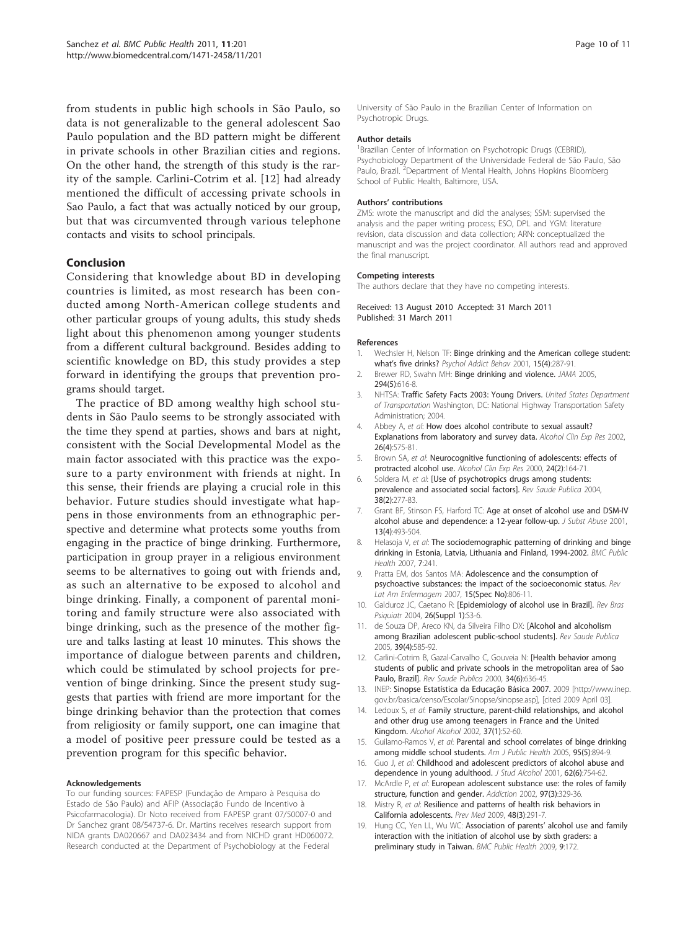<span id="page-9-0"></span>from students in public high schools in São Paulo, so data is not generalizable to the general adolescent Sao Paulo population and the BD pattern might be different in private schools in other Brazilian cities and regions. On the other hand, the strength of this study is the rarity of the sample. Carlini-Cotrim et al. [12] had already mentioned the difficult of accessing private schools in Sao Paulo, a fact that was actually noticed by our group, but that was circumvented through various telephone contacts and visits to school principals.

#### Conclusion

Considering that knowledge about BD in developing countries is limited, as most research has been conducted among North-American college students and other particular groups of young adults, this study sheds light about this phenomenon among younger students from a different cultural background. Besides adding to scientific knowledge on BD, this study provides a step forward in identifying the groups that prevention programs should target.

The practice of BD among wealthy high school students in São Paulo seems to be strongly associated with the time they spend at parties, shows and bars at night, consistent with the Social Developmental Model as the main factor associated with this practice was the exposure to a party environment with friends at night. In this sense, their friends are playing a crucial role in this behavior. Future studies should investigate what happens in those environments from an ethnographic perspective and determine what protects some youths from engaging in the practice of binge drinking. Furthermore, participation in group prayer in a religious environment seems to be alternatives to going out with friends and, as such an alternative to be exposed to alcohol and binge drinking. Finally, a component of parental monitoring and family structure were also associated with binge drinking, such as the presence of the mother figure and talks lasting at least 10 minutes. This shows the importance of dialogue between parents and children, which could be stimulated by school projects for prevention of binge drinking. Since the present study suggests that parties with friend are more important for the binge drinking behavior than the protection that comes from religiosity or family support, one can imagine that a model of positive peer pressure could be tested as a prevention program for this specific behavior.

#### Acknowledgements

To our funding sources: FAPESP (Fundação de Amparo à Pesquisa do Estado de São Paulo) and AFIP (Associação Fundo de Incentivo à Psicofarmacologia). Dr Noto received from FAPESP grant 07/50007-0 and Dr Sanchez grant 08/54737-6. Dr. Martins receives research support from NIDA grants DA020667 and DA023434 and from NICHD grant HD060072. Research conducted at the Department of Psychobiology at the Federal

University of São Paulo in the Brazilian Center of Information on Psychotropic Drugs.

#### Author details

<sup>1</sup> Brazilian Center of Information on Psychotropic Drugs (CEBRID), Psychobiology Department of the Universidade Federal de São Paulo, São Paulo, Brazil. <sup>2</sup>Department of Mental Health, Johns Hopkins Bloomberg School of Public Health, Baltimore, USA.

#### Authors' contributions

ZMS: wrote the manuscript and did the analyses; SSM: supervised the analysis and the paper writing process; ESO, DPL and YGM: literature revision, data discussion and data collection; ARN: conceptualized the manuscript and was the project coordinator. All authors read and approved the final manuscript.

#### Competing interests

The authors declare that they have no competing interests.

Received: 13 August 2010 Accepted: 31 March 2011 Published: 31 March 2011

#### References

- 1. Wechsler H, Nelson TF: [Binge drinking and the American college student:](http://www.ncbi.nlm.nih.gov/pubmed/11767258?dopt=Abstract) what'[s five drinks?](http://www.ncbi.nlm.nih.gov/pubmed/11767258?dopt=Abstract) Psychol Addict Behav 2001, 15(4):287-91.
- 2. Brewer RD, Swahn MH: [Binge drinking and violence.](http://www.ncbi.nlm.nih.gov/pubmed/16077057?dopt=Abstract) JAMA 2005, 294(5):616-8.
- 3. NHTSA: Traffic Safety Facts 2003: Young Drivers. United States Department of Transportation Washington, DC: National Highway Transportation Safety Administration; 2004.
- 4. Abbey A, et al: [How does alcohol contribute to sexual assault?](http://www.ncbi.nlm.nih.gov/pubmed/11981135?dopt=Abstract) [Explanations from laboratory and survey data.](http://www.ncbi.nlm.nih.gov/pubmed/11981135?dopt=Abstract) Alcohol Clin Exp Res 2002, 26(4):575-81.
- 5. Brown SA, et al: [Neurocognitive functioning of adolescents: effects of](http://www.ncbi.nlm.nih.gov/pubmed/10698367?dopt=Abstract) [protracted alcohol use.](http://www.ncbi.nlm.nih.gov/pubmed/10698367?dopt=Abstract) Alcohol Clin Exp Res 2000, 24(2):164-71.
- 6. Soldera M, et al: [\[Use of psychotropics drugs among students:](http://www.ncbi.nlm.nih.gov/pubmed/15122385?dopt=Abstract) [prevalence and associated social factors\].](http://www.ncbi.nlm.nih.gov/pubmed/15122385?dopt=Abstract) Rev Saude Publica 2004, 38(2):277-83.
- 7. Grant BF, Stinson FS, Harford TC: [Age at onset of alcohol use and DSM-IV](http://www.ncbi.nlm.nih.gov/pubmed/11775078?dopt=Abstract) [alcohol abuse and dependence: a 12-year follow-up.](http://www.ncbi.nlm.nih.gov/pubmed/11775078?dopt=Abstract) J Subst Abuse 2001, 13(4):493-504.
- 8. Helasoja V, et al: [The sociodemographic patterning of drinking and binge](http://www.ncbi.nlm.nih.gov/pubmed/17854484?dopt=Abstract) [drinking in Estonia, Latvia, Lithuania and Finland, 1994-2002.](http://www.ncbi.nlm.nih.gov/pubmed/17854484?dopt=Abstract) BMC Public Health 2007, 7:241.
- Pratta EM, dos Santos MA: [Adolescence and the consumption of](http://www.ncbi.nlm.nih.gov/pubmed/17934589?dopt=Abstract) [psychoactive substances: the impact of the socioeconomic status.](http://www.ncbi.nlm.nih.gov/pubmed/17934589?dopt=Abstract) Rev Lat Am Enfermagem 2007, 15(Spec No):806-11.
- 10. Galduroz JC, Caetano R: [\[Epidemiology of alcohol use in Brazil\].](http://www.ncbi.nlm.nih.gov/pubmed/15729435?dopt=Abstract) Rev Bras Psiquiatr 2004, 26(Suppl 1):S3-6.
- 11. de Souza DP, Areco KN, da Silveira Filho DX: [\[Alcohol and alcoholism](http://www.ncbi.nlm.nih.gov/pubmed/16113908?dopt=Abstract) [among Brazilian adolescent public-school students\].](http://www.ncbi.nlm.nih.gov/pubmed/16113908?dopt=Abstract) Rev Saude Publica 2005, 39(4):585-92.
- 12. Carlini-Cotrim B, Gazal-Carvalho C, Gouveia N: [\[Health behavior among](http://www.ncbi.nlm.nih.gov/pubmed/11175610?dopt=Abstract) [students of public and private schools in the metropolitan area of Sao](http://www.ncbi.nlm.nih.gov/pubmed/11175610?dopt=Abstract) [Paulo, Brazil\].](http://www.ncbi.nlm.nih.gov/pubmed/11175610?dopt=Abstract) Rev Saude Publica 2000, 34(6):636-45.
- 13. INEP: Sinopse Estatística da Educação Básica 2007. 2009 [\[http://www.inep.](http://www.inep.gov.br/basica/censo/Escolar/Sinopse/sinopse.asp) [gov.br/basica/censo/Escolar/Sinopse/sinopse.asp\]](http://www.inep.gov.br/basica/censo/Escolar/Sinopse/sinopse.asp), [cited 2009 April 03].
- 14. Ledoux S, et al: Family [structure, parent-child relationships, and alcohol](http://www.ncbi.nlm.nih.gov/pubmed/11825858?dopt=Abstract) [and other drug use among teenagers in France and the United](http://www.ncbi.nlm.nih.gov/pubmed/11825858?dopt=Abstract) [Kingdom.](http://www.ncbi.nlm.nih.gov/pubmed/11825858?dopt=Abstract) Alcohol Alcohol 2002, 37(1):52-60.
- 15. Guilamo-Ramos V, et al: [Parental and school correlates of binge drinking](http://www.ncbi.nlm.nih.gov/pubmed/15855471?dopt=Abstract) [among middle school students.](http://www.ncbi.nlm.nih.gov/pubmed/15855471?dopt=Abstract) Am J Public Health 2005, 95(5):894-9.
- 16. Guo J, et al: [Childhood and adolescent predictors of alcohol abuse and](http://www.ncbi.nlm.nih.gov/pubmed/11838912?dopt=Abstract) [dependence in young adulthood.](http://www.ncbi.nlm.nih.gov/pubmed/11838912?dopt=Abstract) J Stud Alcohol 2001, 62(6):754-62.
- 17. McArdle P, et al: [European adolescent substance use: the roles of family](http://www.ncbi.nlm.nih.gov/pubmed/11964109?dopt=Abstract) [structure, function and gender.](http://www.ncbi.nlm.nih.gov/pubmed/11964109?dopt=Abstract) Addiction 2002, 97(3):329-36.
- 18. Mistry R, et al: [Resilience and patterns of health risk behaviors in](http://www.ncbi.nlm.nih.gov/pubmed/19159644?dopt=Abstract) [California adolescents.](http://www.ncbi.nlm.nih.gov/pubmed/19159644?dopt=Abstract) Prev Med 2009, 48(3):291-7.
- 19. Hung CC, Yen LL, Wu WC: Association of parents' [alcohol use and family](http://www.ncbi.nlm.nih.gov/pubmed/19497107?dopt=Abstract) [interaction with the initiation of alcohol use by sixth graders: a](http://www.ncbi.nlm.nih.gov/pubmed/19497107?dopt=Abstract) [preliminary study in Taiwan.](http://www.ncbi.nlm.nih.gov/pubmed/19497107?dopt=Abstract) BMC Public Health 2009, 9:172.